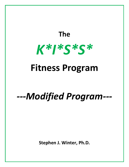# **The** *K\*I\*S\*S\**

## **Fitness Program**

# *---Modified Program---*

**Stephen J. Winter, Ph.D.**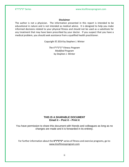#### **Disclaimer**

The author is not a physician. The information presented in this report is intended to be educational in nature and is not intended as medical advice. It is designed to help you make informed decisions related to your physical fitness and should not be used as a substitute for any treatment that may have been prescribed by your doctor. If you suspect that you have a medical problem, you should seek assistance from a qualified health practitioner.

Copyright © 2014 by Stephen J. Winter

*The K\*I\*S\*S\* Fitness Program Modified Program* by Stephen J. Winter

### **THIS IS A SHARABLE DOCUMENT Email it – Post it – Print it**

You have permission to share this document with friends and colleagues as long as no changes are made and it is forwarded in its entirety.

For further information about the **K\*I\*S\*S\*** series of fitness and exercise programs, go to: [www.kissfitnessprogram.com](http://www.kissfitnessprogram.com/)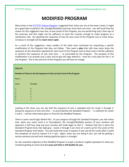## **MODIFIED PROGRAM**

Many times in the *[K\\*I\\*S\\*S\\* Fitness Program](http://www.kissfitnessprogram.com/kiss-fitness-program.html)* I suggested that, when you are at the lower Levels, it might be a good idea to perform the strength/flexibility exercises more than one time. You will recall that the reason for this suggestion was that, at low Levels of the *Program*, you are performing only a few reps of the exercises and this might not be sufficient to work the muscles enough to make progress at a satisfactory rate. By repeating the sequence of sets for your Level of the *Program* one or more times, increases in strength will be **much more rapid**.

As a result of this suggestion, many readers of the book have contacted me requesting a specific modification of the *Program* that they can follow. They want a **plan** that tells how many times the sequence of sets should be repeated for each Level of the *Program* and at what Level it will be sufficient to perform the sequence of sets only once --- as prescribed by the *Program*. The purpose of this modification is to provide such a plan and to give the logic behind it. Chart #1 is this plan for Part 1 of the *Program*. This is the only Part of the *Program* you will have to change.

| Chart #1       |                                                                         |
|----------------|-------------------------------------------------------------------------|
|                | Number of Times to do the Sequence of Sets at Each Level of the Program |
| Part 1         |                                                                         |
| Level          | Number                                                                  |
| $\mathbf{1}$   | $\overline{4}$                                                          |
| $\overline{2}$ | 3                                                                       |
| $\overline{3}$ | $\overline{2}$                                                          |
| $\overline{4}$ | $\mathbf{1}$                                                            |
| 5              | $\mathbf{1}$                                                            |
|                |                                                                         |

Looking at the chart, you can see that the sequence of sets is repeated only for Levels 1 through 3. Doing the sequence of sets one time --- as prescribed by the *Standard Program* --- is sufficient for Levels 4 and 5. I call the information given in Chart #1 the *Modified Program*.

There is some sound logic behind this. As you progress through the *Standard Program*, you will notice that, when you reach Level 4 or thereabouts, the strength/flexibility portion of your workout will approach a half hour long and your muscles will really begin to feel it. I believe that this is when the *Standard Program* kicks into high gear. Levels 1 through 3 are more of a warm up for the Levels of the *Standard Program* that follow. You will recall that Level 4 requires 4 sets and all the Levels after it (with the exception of Level 6) require 4 or 5 sets. Again, when you are doing 4 sets, you will be getting a serious workout and will start making significant gains in strength.

So, the unwritten objective of the *Modified Program* is to get a workout roughly equivalent to what you would be getting at Level 4 but **in a way such that is still doable for you**.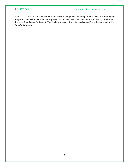#### K\*I\*S\*S\* Series www.kissfitnessprogram.com

Chart #2 lists the reps of each exercise and the sets that you will be doing at each Level of the *Modified Program*. You will notice that the sequences of sets are performed four times for Level 1, three times for Level 2, and twice for Level 3. The single sequences of sets for Levels 4 and 5 are the same as for the *Standard Program*.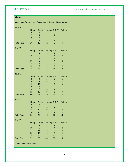### K\*I\*S\*S\* Series www.kissfitnessprogram.com

### **Chart #2**

### **Reps Done for Each Set of Exercises in the** *Modified Program*

| Level 1                  |        |                         |                         |                         |                         |
|--------------------------|--------|-------------------------|-------------------------|-------------------------|-------------------------|
|                          | Sit-up | Squat                   |                         | Push-up B & T*          | Pull-up                 |
|                          | 5      | $\overline{4}$          | 3                       | 2                       | 1                       |
|                          | 5      | $\overline{4}$          | 3                       | $\overline{2}$          | $\mathbf{1}$            |
|                          | 5      | $\overline{4}$          | $\overline{\mathbf{3}}$ | $\overline{2}$          | $\mathbf{1}$            |
|                          | 5      | $\overline{4}$          | 3                       | $\overline{2}$          | $\mathbf{1}$            |
| <b>Total Reps</b>        | 20     | 16                      | 12                      | 8                       | $\overline{\mathbf{4}}$ |
|                          |        |                         |                         |                         |                         |
| Level <sub>2</sub>       |        |                         |                         |                         |                         |
|                          | Sit-up | Squat                   | Push-up B & T           |                         | Pull-up                 |
|                          | 5      | 4                       | 3                       | 2                       | $\mathbf{1}$            |
|                          | 10     | 8                       | 6                       | $\overline{a}$          | $\overline{2}$          |
|                          | 5      | $\overline{\mathbf{4}}$ | 3                       | $\overline{2}$          | $\mathbf 1$             |
|                          | 10     | 8                       | 6                       | $\overline{4}$          | $\overline{2}$          |
|                          | 5      | $\overline{\mathbf{4}}$ | 3                       | $\overline{2}$          | $\mathbf 1$             |
|                          | 10     | 8                       | 6                       | $\overline{4}$          | $\overline{2}$          |
| <b>Total Reps</b>        | 45     | 36                      | 27                      | 18                      | 9                       |
|                          |        |                         |                         |                         |                         |
| Level 3                  |        |                         |                         |                         |                         |
|                          | Sit-up | Squat                   | Push-up B & T           |                         | Pull-up                 |
|                          | 5      | $\overline{4}$          | 3                       | 2                       | $\mathbf{1}$            |
|                          | 10     | 8                       | 6                       | $\overline{\mathbf{4}}$ | $\overline{2}$          |
|                          | 15     | 12                      | 9                       | 6                       | 3                       |
|                          | 5      | $\overline{4}$          | $\overline{\mathbf{3}}$ | $\overline{2}$          | $\mathbf{1}$            |
|                          | 10     | 8                       | 6                       | $\overline{4}$          | $\overline{2}$          |
|                          | 15     | 12                      | 9                       | 6                       | 3                       |
| <b>Total Reps</b>        | 60     | 48                      | 36                      | 24                      | 12                      |
|                          |        |                         |                         |                         |                         |
| Level 4                  |        |                         |                         |                         |                         |
|                          | Sit-up | Squat                   | Push-up B & T           |                         | Pull-up                 |
|                          | 5      | $\overline{4}$          | 3                       | 2                       | $\mathbf{1}$            |
|                          | 10     | 8                       | 6                       | $\overline{4}$          | $\overline{2}$          |
|                          | 15     | 12                      | 9                       | 6                       | 3                       |
|                          | 20     | 16                      | 12                      | 8                       | $\overline{\mathbf{4}}$ |
| <b>Total Reps</b>        | 50     | 40                      | 30                      | 20                      | 10                      |
|                          |        |                         |                         |                         |                         |
| Level 5                  |        |                         |                         |                         |                         |
|                          | Sit-up | Squat                   | Push-up B & T           |                         | Pull-up                 |
|                          | 5      | 4                       | 3                       | 2                       | $\mathbf{1}$            |
|                          | 10     | 8                       | 6                       | $\overline{4}$          | $\overline{2}$          |
|                          | 15     | 12                      | 9                       | 6                       | 3                       |
|                          | 20     | 16                      | 12                      | 8                       | $\overline{\mathbf{4}}$ |
|                          | 25     | 20                      | 15                      | 10                      | 5                       |
| <b>Total Reps</b>        | 75     | 60                      | 45                      | 30                      | 15                      |
|                          |        |                         |                         |                         |                         |
| * B & T = Bend and Twist |        |                         |                         |                         |                         |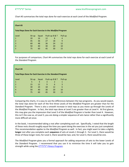Chart #3 summarizes the total reps done for each exercise at each Level of the *Modified Program*.

| Chart #3                                                  |        |       |    |               |                |
|-----------------------------------------------------------|--------|-------|----|---------------|----------------|
| Total Reps Done for Each Exercise in the Modified Program |        |       |    |               |                |
| Level                                                     | Sit-up | Squat |    | Push-up B & T | Pull-up        |
| $\mathbf{1}$                                              | 20     | 16    | 12 | 8             | $\overline{4}$ |
| $\overline{2}$                                            | 45     | 36    | 27 | 18            | 9              |
| $\overline{3}$                                            | 60     | 48    | 36 | 24            | <b>12</b>      |
| $\overline{4}$                                            | 50     | 40    | 30 | 20            | 10             |
| 5                                                         | 75     | 60    | 45 | 30            | 15             |
|                                                           |        |       |    |               |                |

For purposes of comparison, Chart #4 summarizes the total reps done for each exercise at each Level of the *Standard Program*.

| Chart #4                                                  |        |                |    |                |              |
|-----------------------------------------------------------|--------|----------------|----|----------------|--------------|
| Total Reps Done for Each Exercise in the Standard Program |        |                |    |                |              |
| Level                                                     | Sit-up | Squat          |    | Push-up B & T  | Pull-up      |
| $\mathbf{1}$                                              | 5      | $\overline{4}$ | 3  | $\overline{2}$ | $\mathbf{1}$ |
| $\overline{2}$                                            | 15     | <b>12</b>      | 9  | 6              | 3            |
| 3                                                         | 30     | 24             | 18 | 12             | 6            |
| $\overline{4}$                                            | 50     | 40             | 30 | 20             | 10           |
| 5                                                         | 75     | 60             | 45 | 30             | 15           |
|                                                           |        |                |    |                |              |

Comparing the charts, it is easy to see the differences between the two programs. As you would expect, the total reps done for each of the first three Levels of the *Modified Program* are greater than for the *Standard Program*. There is also a smooth increase in total reps as you move up through the Levels of the *Modified Program*. In fact, the total reps done at Level 3 are greater than at Level 4. At first glance, this may give you the impression that Level 3 of the *Modified Program* is harder than Level 4. However, this isn't the case as, at Level 3, you are doing a simpler sequence of sets twice rather than a significantly more difficult set once.

In the book, I recommended taking a rest after completing each set. Specifically, I noted that the length of these rests should roughly equal the time you spent doing the exercises in the set you just completed. This recommendation applies to the *Modified Program* as well. In fact, you might want to take a slightly **longer** rest after you complete each **sequence** of sets at Levels 1 through 3. For Level 1, there would be three of these longer rests; for Level 2, there would be two; and, for Level 3, there would be one.

The *Modified Program* gives you a formal approach for adding sequences of sets to the lower Levels of the *Standard Program*. I recommend that you use it to minimize the time it will take you to gain strength while using the *[K\\*I\\*S\\*S\\* Fitness Program](http://www.kissfitnessprogram.com/kiss-fitness-program.html)*.